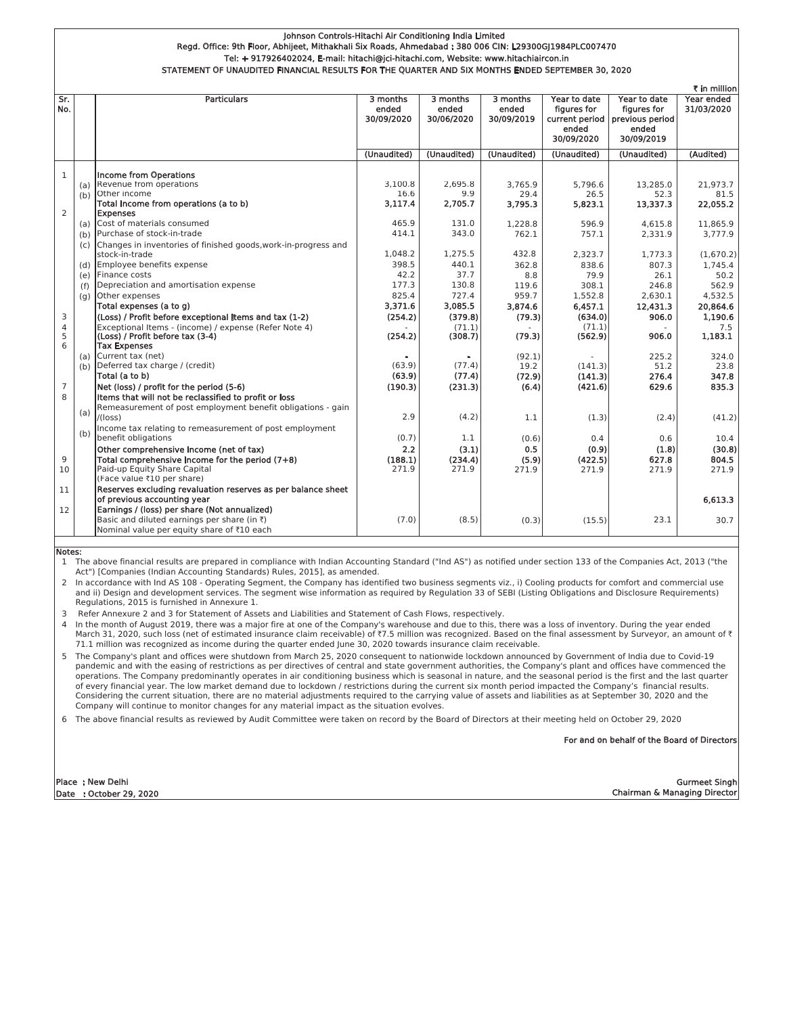## Johnson Controls-Hitachi Air Conditioning India Limited Regd. Office: 9th Floor, Abhijeet, Mithakhali Six Roads, Ahmedabad : 380 006 CIN: L29300GJ1984PLC007470 Tel: + 917926402024, E-mail: hitachi@jci-hitachi.com, Website: www.hitachiaircon.in STATEMENT OF UNAUDITED FINANCIAL RESULTS FOR THE QUARTER AND SIX MONTHS ENDED SEPTEMBER 30, 2020

| ₹ in million   |     |                                                                                                                      |                                 |                                 |                                 |                                                                      |                                                                       |                          |
|----------------|-----|----------------------------------------------------------------------------------------------------------------------|---------------------------------|---------------------------------|---------------------------------|----------------------------------------------------------------------|-----------------------------------------------------------------------|--------------------------|
| Sr.<br>No.     |     | <b>Particulars</b>                                                                                                   | 3 months<br>ended<br>30/09/2020 | 3 months<br>ended<br>30/06/2020 | 3 months<br>ended<br>30/09/2019 | Year to date<br>figures for<br>current period<br>ended<br>30/09/2020 | Year to date<br>figures for<br>previous period<br>ended<br>30/09/2019 | Year ended<br>31/03/2020 |
|                |     |                                                                                                                      | (Unaudited)                     | (Unaudited)                     | (Unaudited)                     | (Unaudited)                                                          | (Unaudited)                                                           | (Audited)                |
|                |     |                                                                                                                      |                                 |                                 |                                 |                                                                      |                                                                       |                          |
| $\mathbf{1}$   |     | <b>Income from Operations</b>                                                                                        |                                 |                                 |                                 |                                                                      |                                                                       |                          |
|                | (a) | Revenue from operations<br>Other income                                                                              | 3.100.8                         | 2.695.8<br>9.9                  | 3.765.9                         | 5.796.6                                                              | 13.285.0                                                              | 21.973.7                 |
|                | (b) | Total Income from operations (a to b)                                                                                | 16.6<br>3,117.4                 | 2.705.7                         | 29.4<br>3,795.3                 | 26.5<br>5,823.1                                                      | 52.3<br>13,337.3                                                      | 81.5<br>22,055.2         |
| $\overline{2}$ |     | <b>Expenses</b>                                                                                                      |                                 |                                 |                                 |                                                                      |                                                                       |                          |
|                | (a) | Cost of materials consumed                                                                                           | 465.9                           | 131.0                           | 1,228.8                         | 596.9                                                                | 4.615.8                                                               | 11.865.9                 |
|                | (b) | Purchase of stock-in-trade                                                                                           | 414.1                           | 343.0                           | 762.1                           | 757.1                                                                | 2,331.9                                                               | 3.777.9                  |
|                | (c) | Changes in inventories of finished goods, work-in-progress and                                                       |                                 |                                 |                                 |                                                                      |                                                                       |                          |
|                |     | stock-in-trade                                                                                                       | 1.048.2                         | 1,275.5                         | 432.8                           | 2,323.7                                                              | 1,773.3                                                               | (1,670.2)                |
|                | (d) | Employee benefits expense                                                                                            | 398.5                           | 440.1                           | 362.8                           | 838.6                                                                | 807.3                                                                 | 1.745.4                  |
|                | (e) | Finance costs                                                                                                        | 42.2                            | 37.7                            | 8.8                             | 79.9                                                                 | 26.1                                                                  | 50.2                     |
|                | (f) | Depreciation and amortisation expense<br>Other expenses                                                              | 177.3<br>825.4                  | 130.8<br>727.4                  | 119.6<br>959.7                  | 308.1                                                                | 246.8<br>2.630.1                                                      | 562.9<br>4,532.5         |
|                | (g) | Total expenses (a to q)                                                                                              | 3,371.6                         | 3,085.5                         | 3,874.6                         | 1,552.8<br>6,457.1                                                   | 12,431.3                                                              | 20,864.6                 |
| 3              |     | (Loss) / Profit before exceptional Items and tax (1-2)                                                               | (254.2)                         | (379.8)                         | (79.3)                          | (634.0)                                                              | 906.0                                                                 | 1,190.6                  |
| $\overline{4}$ |     | Exceptional Items - (income) / expense (Refer Note 4)                                                                |                                 | (71.1)                          |                                 | (71.1)                                                               |                                                                       | 7.5                      |
| 5              |     | (Loss) / Profit before tax (3-4)                                                                                     | (254.2)                         | (308.7)                         | (79.3)                          | (562.9)                                                              | 906.0                                                                 | 1,183.1                  |
| 6              |     | <b>Tax Expenses</b>                                                                                                  |                                 |                                 |                                 |                                                                      |                                                                       |                          |
|                | (a) | Current tax (net)                                                                                                    |                                 | ٠                               | (92.1)                          |                                                                      | 225.2                                                                 | 324.0                    |
|                | (b) | Deferred tax charge / (credit)                                                                                       | (63.9)                          | (77.4)                          | 19.2                            | (141.3)                                                              | 51.2                                                                  | 23.8                     |
|                |     | Total (a to b)                                                                                                       | (63.9)                          | (77.4)                          | (72.9)                          | (141.3)                                                              | 276.4                                                                 | 347.8                    |
| 7<br>8         |     | Net (loss) / profit for the period (5-6)                                                                             | (190.3)                         | (231.3)                         | (6.4)                           | (421.6)                                                              | 629.6                                                                 | 835.3                    |
|                |     | Items that will not be reclassified to profit or loss<br>Remeasurement of post employment benefit obligations - gain |                                 |                                 |                                 |                                                                      |                                                                       |                          |
|                | (a) | /(loss)                                                                                                              | 2.9                             | (4.2)                           | 1.1                             | (1.3)                                                                | (2.4)                                                                 | (41.2)                   |
|                |     | Income tax relating to remeasurement of post employment                                                              |                                 |                                 |                                 |                                                                      |                                                                       |                          |
|                | (b) | benefit obligations                                                                                                  | (0.7)                           | 1.1                             | (0.6)                           | 0.4                                                                  | 0.6                                                                   | 10.4                     |
|                |     | Other comprehensive income (net of tax)                                                                              | 2.2                             | (3.1)                           | 0.5                             | (0.9)                                                                | (1.8)                                                                 | (30.8)                   |
| 9              |     | Total comprehensive income for the period (7+8)                                                                      | (188.1)                         | (234.4)                         | (5.9)                           | (422.5)                                                              | 627.8                                                                 | 804.5                    |
| 10             |     | Paid-up Equity Share Capital                                                                                         | 271.9                           | 271.9                           | 271.9                           | 271.9                                                                | 271.9                                                                 | 271.9                    |
|                |     | (Face value ₹10 per share)                                                                                           |                                 |                                 |                                 |                                                                      |                                                                       |                          |
| 11             |     | Reserves excluding revaluation reserves as per balance sheet                                                         |                                 |                                 |                                 |                                                                      |                                                                       |                          |
|                |     | of previous accounting year                                                                                          |                                 |                                 |                                 |                                                                      |                                                                       | 6,613.3                  |
| 12             |     | Earnings / (loss) per share (Not annualized)<br>Basic and diluted earnings per share (in $\bar{\tau}$ )              | (7.0)                           | (8.5)                           |                                 |                                                                      | 23.1                                                                  | 30.7                     |
|                |     | Nominal value per equity share of ₹10 each                                                                           |                                 |                                 | (0.3)                           | (15.5)                                                               |                                                                       |                          |
|                |     |                                                                                                                      |                                 |                                 |                                 |                                                                      |                                                                       |                          |

Notes:

1 The above financial results are prepared in compliance with Indian Accounting Standard ("Ind AS") as notified under section 133 of the Companies Act, 2013 ("the Act") [Companies (Indian Accounting Standards) Rules, 2015], as amended.

2 In accordance with Ind AS 108 - Operating Segment, the Company has identified two business segments viz., i) Cooling products for comfort and commercial use and ii) Design and development services. The segment wise information as required by Regulation 33 of SEBI (Listing Obligations and Disclosure Requirements) Regulations, 2015 is furnished in Annexure 1.

Refer Annexure 2 and 3 for Statement of Assets and Liabilities and Statement of Cash Flows, respectively.  $\overline{z}$ 

4 In the month of August 2019, there was a major fire at one of the Company's warehouse and due to this, there was a loss of inventory. During the year ended March 31, 2020, such loss (net of estimated insurance claim receivable) of ₹7.5 million was recognized. Based on the final assessment by Surveyor, an amount of ₹ 71.1 million was recognized as income during the quarter ended June 30, 2020 towards insurance claim receivable.

The Company's plant and offices were shutdown from March 25, 2020 consequent to nationwide lockdown announced by Government of India due to Covid-19 pandemic and with the easing of restrictions as per directives of central and state government authorities, the Company's plant and offices have commenced the operations. The Company predominantly operates in air conditioning business which is seasonal in nature, and the seasonal period is the first and the last quarter of every financial year. The low market demand due to lockdown / restrictions during the current six month period impacted the Company's financial results. Considering the current situation, there are no material adjustments required to the carrying value of assets and liabilities as at September 30, 2020 and the Company will continue to monitor changes for any material impact as the situation evolves.

6 The above financial results as reviewed by Audit Committee were taken on record by the Board of Directors at their meeting held on October 29, 2020

For and on behalf of the Board of Directors

**Gurmeet Singh Chairman & Managing Director**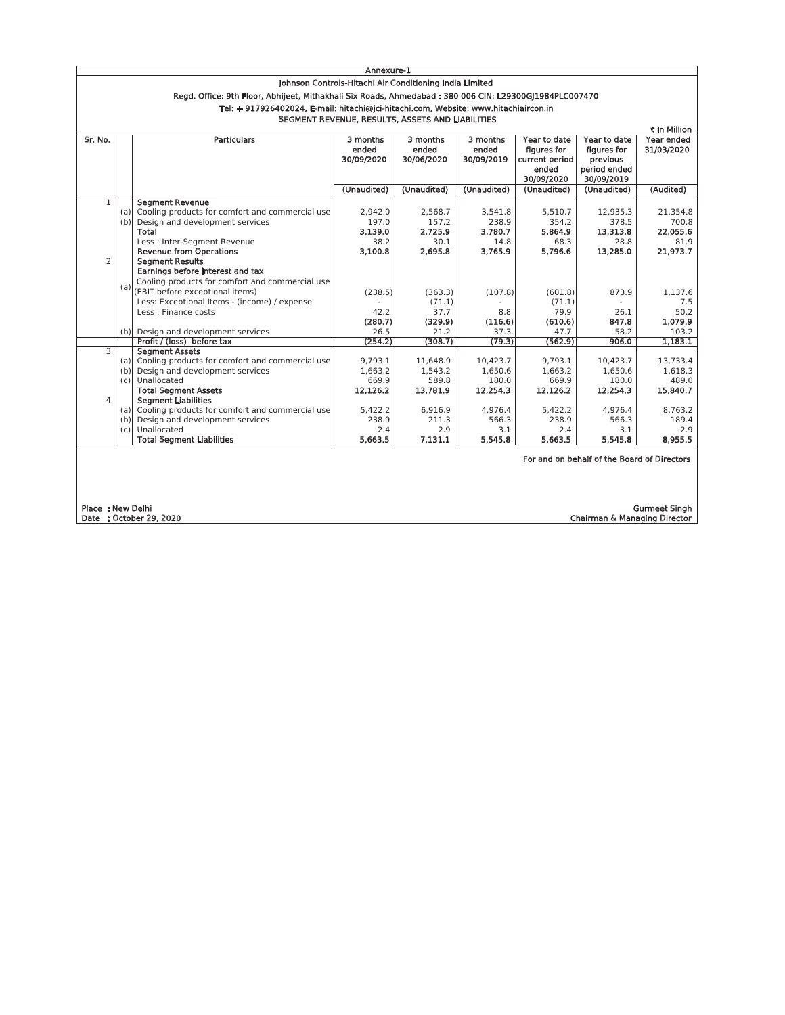|                                                         | Annexure-1                                                                                                                                              |                                                     |                                 |                                 |                                 |                                                                      |                                                                       |                          |
|---------------------------------------------------------|---------------------------------------------------------------------------------------------------------------------------------------------------------|-----------------------------------------------------|---------------------------------|---------------------------------|---------------------------------|----------------------------------------------------------------------|-----------------------------------------------------------------------|--------------------------|
| Johnson Controls-Hitachi Air Conditioning India Limited |                                                                                                                                                         |                                                     |                                 |                                 |                                 |                                                                      |                                                                       |                          |
|                                                         | Regd. Office: 9th Floor, Abhijeet, Mithakhali Six Roads, Ahmedabad : 380 006 CIN: L29300GJ1984PLC007470                                                 |                                                     |                                 |                                 |                                 |                                                                      |                                                                       |                          |
|                                                         | Tel: + 917926402024, E-mail: hitachi@ici-hitachi.com, Website: www.hitachiaircon.in<br>SEGMENT REVENUE, RESULTS, ASSETS AND LIABILITIES<br>₹ in Million |                                                     |                                 |                                 |                                 |                                                                      |                                                                       |                          |
|                                                         |                                                                                                                                                         |                                                     |                                 |                                 |                                 |                                                                      |                                                                       |                          |
|                                                         |                                                                                                                                                         |                                                     |                                 |                                 |                                 |                                                                      |                                                                       |                          |
| Sr. No.                                                 |                                                                                                                                                         | <b>Particulars</b>                                  | 3 months<br>ended<br>30/09/2020 | 3 months<br>ended<br>30/06/2020 | 3 months<br>ended<br>30/09/2019 | Year to date<br>figures for<br>current period<br>ended<br>30/09/2020 | Year to date<br>figures for<br>previous<br>period ended<br>30/09/2019 | Year ended<br>31/03/2020 |
|                                                         |                                                                                                                                                         |                                                     | (Unaudited)                     | (Unaudited)                     | (Unaudited)                     | (Unaudited)                                                          | (Unaudited)                                                           | (Audited)                |
| 1                                                       |                                                                                                                                                         | <b>Segment Revenue</b>                              |                                 |                                 |                                 |                                                                      |                                                                       |                          |
|                                                         |                                                                                                                                                         | (a) Cooling products for comfort and commercial use | 2,942.0                         | 2,568.7                         | 3,541.8                         | 5,510.7                                                              | 12.935.3                                                              | 21,354.8                 |
|                                                         | (b)                                                                                                                                                     | Design and development services                     | 197.0                           | 157.2                           | 238.9                           | 354.2                                                                | 378.5                                                                 | 700.8                    |
|                                                         |                                                                                                                                                         | Total                                               | 3.139.0                         | 2.725.9                         | 3,780.7                         | 5,864.9                                                              | 13,313.8                                                              | 22,055.6                 |
|                                                         |                                                                                                                                                         | Less : Inter-Segment Revenue                        | 38.2                            | 30.1                            | 14.8                            | 68.3                                                                 | 28.8                                                                  | 81.9                     |
|                                                         |                                                                                                                                                         | <b>Revenue from Operations</b>                      | 3,100.8                         | 2,695.8                         | 3,765.9                         | 5,796.6                                                              | 13,285.0                                                              | 21.973.7                 |
| $\overline{2}$                                          |                                                                                                                                                         | <b>Seament Results</b>                              |                                 |                                 |                                 |                                                                      |                                                                       |                          |
|                                                         |                                                                                                                                                         | Earnings before interest and tax                    |                                 |                                 |                                 |                                                                      |                                                                       |                          |
|                                                         |                                                                                                                                                         | Cooling products for comfort and commercial use     |                                 |                                 |                                 |                                                                      |                                                                       |                          |
|                                                         |                                                                                                                                                         | (a) (EBIT before exceptional items)                 | (238.5)                         | (363.3)                         | (107.8)                         | (601.8)                                                              | 873.9                                                                 | 1.137.6                  |
|                                                         |                                                                                                                                                         | Less: Exceptional Items - (income) / expense        |                                 | (71.1)                          |                                 | (71.1)                                                               |                                                                       | 7.5                      |
|                                                         |                                                                                                                                                         | Less : Finance costs                                | 42.2                            | 37.7                            | 8.8                             | 79.9                                                                 | 26.1                                                                  | 50.2                     |
|                                                         |                                                                                                                                                         |                                                     | (280.7)                         | (329.9)                         | (116.6)                         | (610.6)                                                              | 847.8                                                                 | 1.079.9                  |
|                                                         |                                                                                                                                                         | (b) Design and development services                 | 26.5                            | 21.2                            | 37.3                            | 47.7                                                                 | 58.2                                                                  | 103.2                    |
|                                                         |                                                                                                                                                         | Profit / (loss) before tax                          | (254.2)                         | (308.7)                         | (79.3)                          | (562.9)                                                              | 906.0                                                                 | 1.183.1                  |
| 3                                                       |                                                                                                                                                         | <b>Seament Assets</b>                               |                                 |                                 |                                 |                                                                      |                                                                       |                          |
|                                                         |                                                                                                                                                         | (a) Cooling products for comfort and commercial use | 9,793.1                         | 11,648.9                        | 10,423.7                        | 9,793.1                                                              | 10,423.7                                                              | 13.733.4                 |
|                                                         |                                                                                                                                                         | (b) Design and development services                 | 1,663.2                         | 1,543.2                         | 1,650.6                         | 1,663.2                                                              | 1,650.6                                                               | 1,618.3                  |
|                                                         |                                                                                                                                                         | (c) Unallocated                                     | 669.9                           | 589.8                           | 180.0                           | 669.9                                                                | 180.0                                                                 | 489.0                    |
|                                                         |                                                                                                                                                         | <b>Total Segment Assets</b>                         | 12,126.2                        | 13.781.9                        | 12,254.3                        | 12,126.2                                                             | 12.254.3                                                              | 15,840.7                 |
| $\overline{4}$                                          |                                                                                                                                                         | <b>Segment Liabilities</b>                          |                                 |                                 |                                 |                                                                      |                                                                       |                          |
|                                                         |                                                                                                                                                         | (a) Cooling products for comfort and commercial use | 5,422.2                         | 6,916.9                         | 4,976.4                         | 5,422.2                                                              | 4,976.4                                                               | 8.763.2                  |
|                                                         |                                                                                                                                                         | (b) Design and development services                 | 238.9                           | 211.3                           | 566.3                           | 238.9                                                                | 566.3                                                                 | 189.4                    |
|                                                         |                                                                                                                                                         | (c) Unallocated                                     | 2.4                             | 2.9                             | 3.1                             | 2.4                                                                  | 3.1                                                                   | 2.9                      |
|                                                         |                                                                                                                                                         | <b>Total Segment Liabilities</b>                    | 5,663.5                         | 7,131.1                         | 5,545.8                         | 5,663.5                                                              | 5,545.8                                                               | 8,955.5                  |
|                                                         |                                                                                                                                                         |                                                     |                                 |                                 |                                 |                                                                      | For and on behalf of the Board of Directors                           |                          |

Place : New Delhi<br>Date : October 29, 2020

Gurmeet Singh<br>Chairman & Managing Director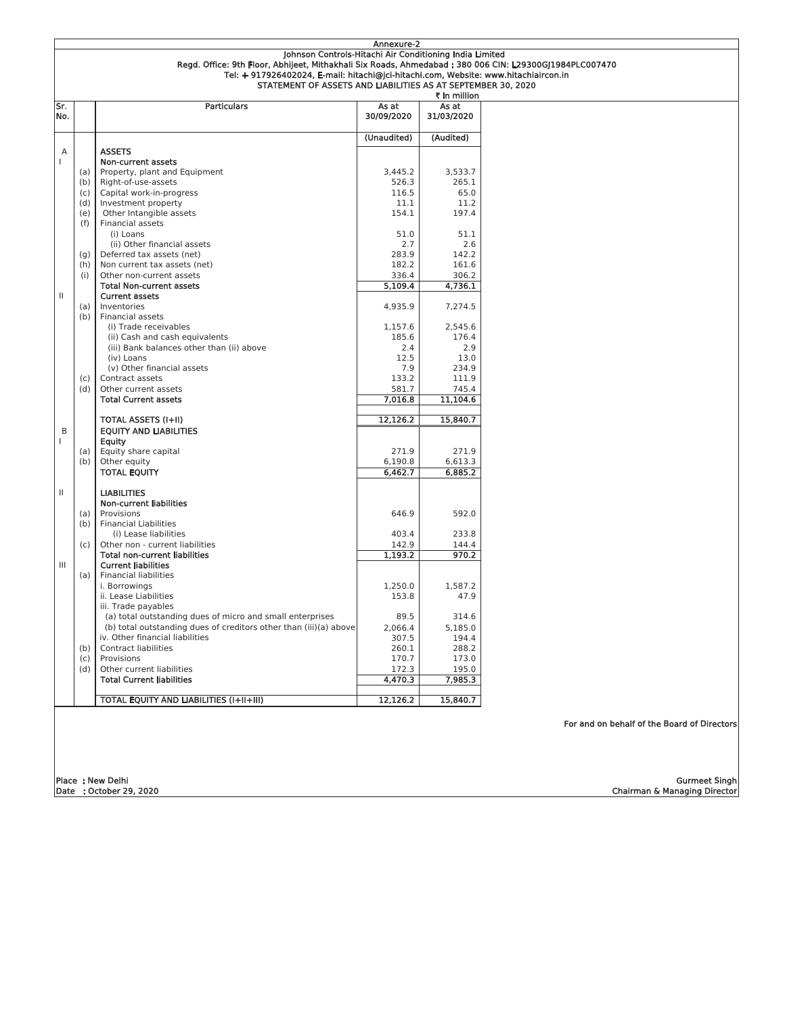|              | Annexure-2                                                                                              |                                                                   |             |            |                                             |  |  |  |
|--------------|---------------------------------------------------------------------------------------------------------|-------------------------------------------------------------------|-------------|------------|---------------------------------------------|--|--|--|
|              | Johnson Controls-Hitachi Air Conditioning India Limited                                                 |                                                                   |             |            |                                             |  |  |  |
|              | Regd. Office: 9th Floor, Abhijeet, Mithakhali Six Roads, Ahmedabad : 380 006 CIN: L29300GJ1984PLC007470 |                                                                   |             |            |                                             |  |  |  |
|              | Tel: + 917926402024, E-mail: hitachi@jci-hitachi.com, Website: www.hitachiaircon.in                     |                                                                   |             |            |                                             |  |  |  |
|              | STATEMENT OF ASSETS AND LIABILITIES AS AT SEPTEMBER 30, 2020                                            |                                                                   |             |            |                                             |  |  |  |
| ₹ in million |                                                                                                         |                                                                   |             |            |                                             |  |  |  |
|              |                                                                                                         |                                                                   |             | As at      |                                             |  |  |  |
| Sr.          |                                                                                                         | <b>Particulars</b>                                                | As at       |            |                                             |  |  |  |
| No.          |                                                                                                         |                                                                   | 30/09/2020  | 31/03/2020 |                                             |  |  |  |
|              |                                                                                                         |                                                                   |             |            |                                             |  |  |  |
|              |                                                                                                         |                                                                   | (Unaudited) | (Audited)  |                                             |  |  |  |
| A            |                                                                                                         | <b>ASSETS</b>                                                     |             |            |                                             |  |  |  |
| $\mathbf{L}$ |                                                                                                         | Non-current assets                                                |             |            |                                             |  |  |  |
|              | (a)                                                                                                     | Property, plant and Equipment                                     | 3,445.2     | 3,533.7    |                                             |  |  |  |
|              |                                                                                                         |                                                                   |             |            |                                             |  |  |  |
|              | (b)                                                                                                     | Right-of-use-assets                                               | 526.3       | 265.1      |                                             |  |  |  |
|              | (c)                                                                                                     | Capital work-in-progress                                          | 116.5       | 65.0       |                                             |  |  |  |
|              | (d)                                                                                                     | Investment property                                               | 11.1        | 11.2       |                                             |  |  |  |
|              | (e)                                                                                                     | Other Intangible assets                                           | 154.1       | 197.4      |                                             |  |  |  |
|              | (f)                                                                                                     | Financial assets                                                  |             |            |                                             |  |  |  |
|              |                                                                                                         | (i) Loans                                                         | 51.0        | 51.1       |                                             |  |  |  |
|              |                                                                                                         | (ii) Other financial assets                                       | 2.7         | 2.6        |                                             |  |  |  |
|              | (g)                                                                                                     | Deferred tax assets (net)                                         | 283.9       | 142.2      |                                             |  |  |  |
|              | (h)                                                                                                     | Non current tax assets (net)                                      | 182.2       | 161.6      |                                             |  |  |  |
|              | (i)                                                                                                     | Other non-current assets                                          | 336.4       | 306.2      |                                             |  |  |  |
|              |                                                                                                         | <b>Total Non-current assets</b>                                   | 5,109.4     | 4,736.1    |                                             |  |  |  |
| $\mathbf{H}$ |                                                                                                         |                                                                   |             |            |                                             |  |  |  |
|              |                                                                                                         | <b>Current assets</b><br>Inventories                              |             |            |                                             |  |  |  |
|              | (a)                                                                                                     |                                                                   | 4,935.9     | 7,274.5    |                                             |  |  |  |
|              | (b)                                                                                                     | Financial assets                                                  |             |            |                                             |  |  |  |
|              |                                                                                                         | (i) Trade receivables                                             | 1.157.6     | 2,545.6    |                                             |  |  |  |
|              |                                                                                                         | (ii) Cash and cash equivalents                                    | 185.6       | 176.4      |                                             |  |  |  |
|              |                                                                                                         | (iii) Bank balances other than (ii) above                         | 2.4         | 2.9        |                                             |  |  |  |
|              |                                                                                                         | (iv) Loans                                                        | 12.5        | 13.0       |                                             |  |  |  |
|              |                                                                                                         | (v) Other financial assets                                        | 7.9         | 234.9      |                                             |  |  |  |
|              | (c)                                                                                                     | Contract assets                                                   | 133.2       | 111.9      |                                             |  |  |  |
|              | (d)                                                                                                     | Other current assets                                              | 581.7       | 745.4      |                                             |  |  |  |
|              |                                                                                                         | <b>Total Current assets</b>                                       | 7,016.8     | 11,104.6   |                                             |  |  |  |
|              |                                                                                                         |                                                                   |             |            |                                             |  |  |  |
|              |                                                                                                         | <b>TOTAL ASSETS (I+II)</b>                                        | 12,126.2    | 15,840.7   |                                             |  |  |  |
| B            |                                                                                                         | <b>EQUITY AND LIABILITIES</b>                                     |             |            |                                             |  |  |  |
|              |                                                                                                         | Equity                                                            |             |            |                                             |  |  |  |
|              |                                                                                                         |                                                                   | 271.9       | 271.9      |                                             |  |  |  |
|              | (a)                                                                                                     | Equity share capital                                              |             |            |                                             |  |  |  |
|              | (b)                                                                                                     | Other equity                                                      | 6,190.8     | 6,613.3    |                                             |  |  |  |
|              |                                                                                                         | <b>TOTAL EQUITY</b>                                               | 6,462.7     | 6,885.2    |                                             |  |  |  |
|              |                                                                                                         |                                                                   |             |            |                                             |  |  |  |
| $\mathbf{H}$ |                                                                                                         | <b>LIABILITIES</b>                                                |             |            |                                             |  |  |  |
|              |                                                                                                         | <b>Non-current liabilities</b>                                    |             |            |                                             |  |  |  |
|              | (a)                                                                                                     | Provisions                                                        | 646.9       | 592.0      |                                             |  |  |  |
|              | (b)                                                                                                     | <b>Financial Liabilities</b>                                      |             |            |                                             |  |  |  |
|              |                                                                                                         | (i) Lease liabilities                                             | 403.4       | 233.8      |                                             |  |  |  |
|              | (c)                                                                                                     | Other non - current liabilities                                   | 142.9       | 144.4      |                                             |  |  |  |
|              |                                                                                                         | <b>Total non-current liabilities</b>                              | 1,193.2     | 970.2      |                                             |  |  |  |
| III          |                                                                                                         | <b>Current liabilities</b>                                        |             |            |                                             |  |  |  |
|              | (a)                                                                                                     | <b>Financial liabilities</b>                                      |             |            |                                             |  |  |  |
|              |                                                                                                         | i. Borrowings                                                     | 1,250.0     | 1,587.2    |                                             |  |  |  |
|              |                                                                                                         |                                                                   | 153.8       | 47.9       |                                             |  |  |  |
|              |                                                                                                         | ii. Lease Liabilities                                             |             |            |                                             |  |  |  |
|              |                                                                                                         | iii. Trade payables                                               |             |            |                                             |  |  |  |
|              |                                                                                                         | (a) total outstanding dues of micro and small enterprises         | 89.5        | 314.6      |                                             |  |  |  |
|              |                                                                                                         | (b) total outstanding dues of creditors other than (iii)(a) above | 2,066.4     | 5,185.0    |                                             |  |  |  |
|              |                                                                                                         | iv. Other financial liabilities                                   | 307.5       | 194.4      |                                             |  |  |  |
|              | (b)                                                                                                     | <b>Contract liabilities</b>                                       | 260.1       | 288.2      |                                             |  |  |  |
|              | (c)                                                                                                     | Provisions                                                        | 170.7       | 173.0      |                                             |  |  |  |
|              | (d)                                                                                                     | Other current liabilities                                         | 172.3       | 195.0      |                                             |  |  |  |
|              |                                                                                                         | <b>Total Current liabilities</b>                                  | 4,470.3     | 7,985.3    |                                             |  |  |  |
|              |                                                                                                         |                                                                   |             |            |                                             |  |  |  |
|              |                                                                                                         | <b>TOTAL EQUITY AND LIABILITIES (I+II+III)</b>                    | 12,126.2    | 15,840.7   |                                             |  |  |  |
|              |                                                                                                         |                                                                   |             |            |                                             |  |  |  |
|              |                                                                                                         |                                                                   |             |            |                                             |  |  |  |
|              |                                                                                                         |                                                                   |             |            | For and on behalf of the Board of Directors |  |  |  |
|              |                                                                                                         |                                                                   |             |            |                                             |  |  |  |
|              |                                                                                                         |                                                                   |             |            |                                             |  |  |  |

Gurmeet Singh<br>Chairman & Managing Director